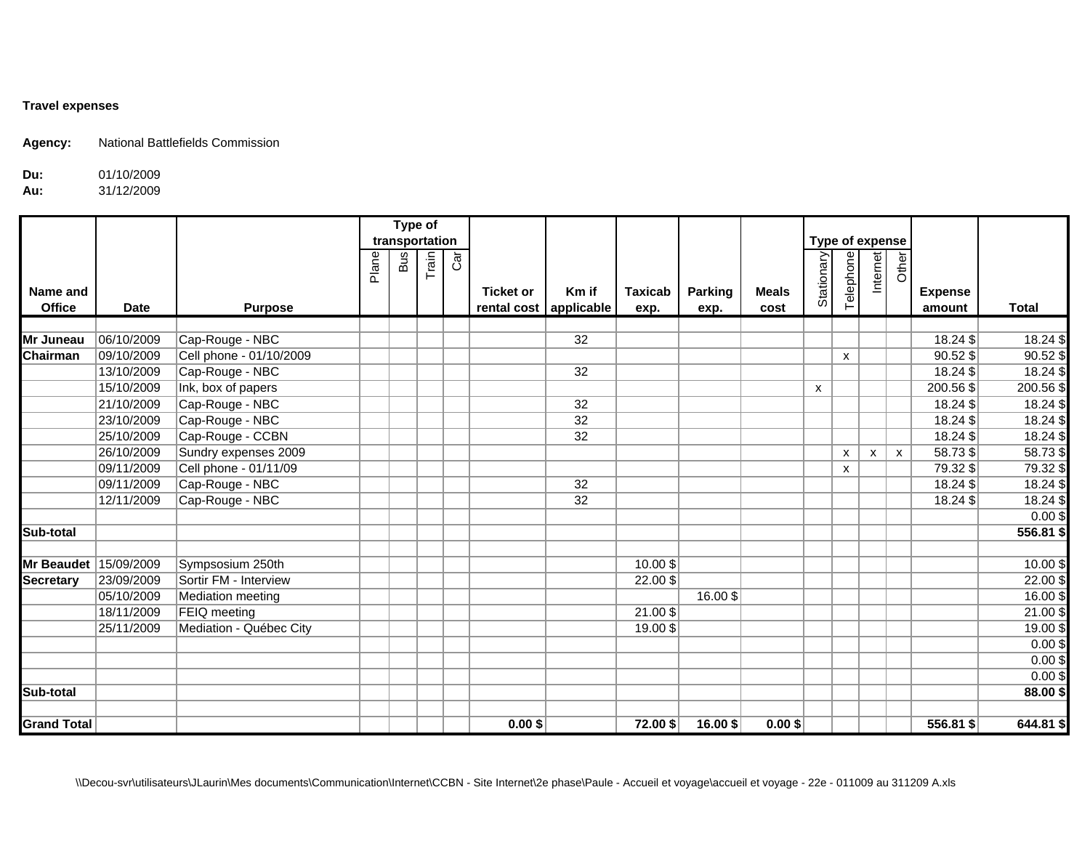## **Travel expenses**

**Agency:** National Battlefields Commission

## **Du:**01/10/2009

## **Au:**31/12/2009

|                    |             |                         |       | Type of<br>transportation |       |     |                                            |                 |                        |                 |                      | Type of expense   |           |          |                    |                          |              |
|--------------------|-------------|-------------------------|-------|---------------------------|-------|-----|--------------------------------------------|-----------------|------------------------|-----------------|----------------------|-------------------|-----------|----------|--------------------|--------------------------|--------------|
|                    |             |                         | Plane | <b>Bus</b>                | Train | Car |                                            |                 |                        |                 |                      | <b>Stationary</b> | Telephone | Internet | Other              |                          |              |
| Name and<br>Office | <b>Date</b> | <b>Purpose</b>          |       |                           |       |     | <b>Ticket or</b><br>rental cost applicable | Km if           | <b>Taxicab</b><br>exp. | Parking<br>exp. | <b>Meals</b><br>cost |                   |           |          |                    | <b>Expense</b><br>amount | <b>Total</b> |
|                    |             |                         |       |                           |       |     |                                            |                 |                        |                 |                      |                   |           |          |                    |                          |              |
| Mr Juneau          | 06/10/2009  | Cap-Rouge - NBC         |       |                           |       |     |                                            | 32              |                        |                 |                      |                   |           |          |                    | 18.24 \$                 | 18.24 \$     |
| Chairman           | 09/10/2009  | Cell phone - 01/10/2009 |       |                           |       |     |                                            |                 |                        |                 |                      |                   | X         |          |                    | 90.52\$                  | $90.52$ \$   |
|                    | 13/10/2009  | Cap-Rouge - NBC         |       |                           |       |     |                                            | 32              |                        |                 |                      |                   |           |          |                    | $18.24$ \$               | 18.24 \$     |
|                    | 15/10/2009  | Ink, box of papers      |       |                           |       |     |                                            |                 |                        |                 |                      | X                 |           |          |                    | 200.56 \$                | 200.56\$     |
|                    | 21/10/2009  | Cap-Rouge - NBC         |       |                           |       |     |                                            | $\overline{32}$ |                        |                 |                      |                   |           |          |                    | 18.24\$                  | 18.24\$      |
|                    | 23/10/2009  | Cap-Rouge - NBC         |       |                           |       |     |                                            | 32              |                        |                 |                      |                   |           |          |                    | $18.24$ \$               | 18.24\$      |
|                    | 25/10/2009  | Cap-Rouge - CCBN        |       |                           |       |     |                                            | 32              |                        |                 |                      |                   |           |          |                    | 18.24 \$                 | 18.24\$      |
|                    | 26/10/2009  | Sundry expenses 2009    |       |                           |       |     |                                            |                 |                        |                 |                      |                   | X         | X        | $\pmb{\mathsf{X}}$ | 58.73\$                  | $58.73$ \$   |
|                    | 09/11/2009  | Cell phone - 01/11/09   |       |                           |       |     |                                            |                 |                        |                 |                      |                   | X         |          |                    | 79.32\$                  | 79.32\$      |
|                    | 09/11/2009  | Cap-Rouge - NBC         |       |                           |       |     |                                            | $\overline{32}$ |                        |                 |                      |                   |           |          |                    | 18.24\$                  | 18.24\$      |
|                    | 12/11/2009  | Cap-Rouge - NBC         |       |                           |       |     |                                            | 32              |                        |                 |                      |                   |           |          |                    | 18.24 \$                 | 18.24\$      |
|                    |             |                         |       |                           |       |     |                                            |                 |                        |                 |                      |                   |           |          |                    |                          | $0.00$ \$    |
| Sub-total          |             |                         |       |                           |       |     |                                            |                 |                        |                 |                      |                   |           |          |                    |                          | 556.81 \$    |
|                    |             |                         |       |                           |       |     |                                            |                 |                        |                 |                      |                   |           |          |                    |                          |              |
| <b>Mr Beaudet</b>  | 15/09/2009  | Sympsosium 250th        |       |                           |       |     |                                            |                 | 10.00\$                |                 |                      |                   |           |          |                    |                          | 10.00 \$     |
| <b>Secretary</b>   | 23/09/2009  | Sortir FM - Interview   |       |                           |       |     |                                            |                 | 22.00\$                |                 |                      |                   |           |          |                    |                          | 22.00\$      |
|                    | 05/10/2009  | Mediation meeting       |       |                           |       |     |                                            |                 |                        | 16.00 \$        |                      |                   |           |          |                    |                          | 16.00\$      |
|                    | 18/11/2009  | FEIQ meeting            |       |                           |       |     |                                            |                 | $21.00$ \$             |                 |                      |                   |           |          |                    |                          | $21.00$ \$   |
|                    | 25/11/2009  | Mediation - Québec City |       |                           |       |     |                                            |                 | 19.00\$                |                 |                      |                   |           |          |                    |                          | 19.00\$      |
|                    |             |                         |       |                           |       |     |                                            |                 |                        |                 |                      |                   |           |          |                    |                          | $0.00$ \$    |
|                    |             |                         |       |                           |       |     |                                            |                 |                        |                 |                      |                   |           |          |                    |                          | $0.00$ \$    |
|                    |             |                         |       |                           |       |     |                                            |                 |                        |                 |                      |                   |           |          |                    |                          | $0.00$ \$    |
| Sub-total          |             |                         |       |                           |       |     |                                            |                 |                        |                 |                      |                   |           |          |                    |                          | 88.00\$      |
|                    |             |                         |       |                           |       |     |                                            |                 |                        |                 |                      |                   |           |          |                    |                          |              |
| <b>Grand Total</b> |             |                         |       |                           |       |     | $0.00$ \$                                  |                 | 72.00\$                | 16.00 \$        | $0.00$ \$            |                   |           |          |                    | $556.81$ \$              | 644.81 \$    |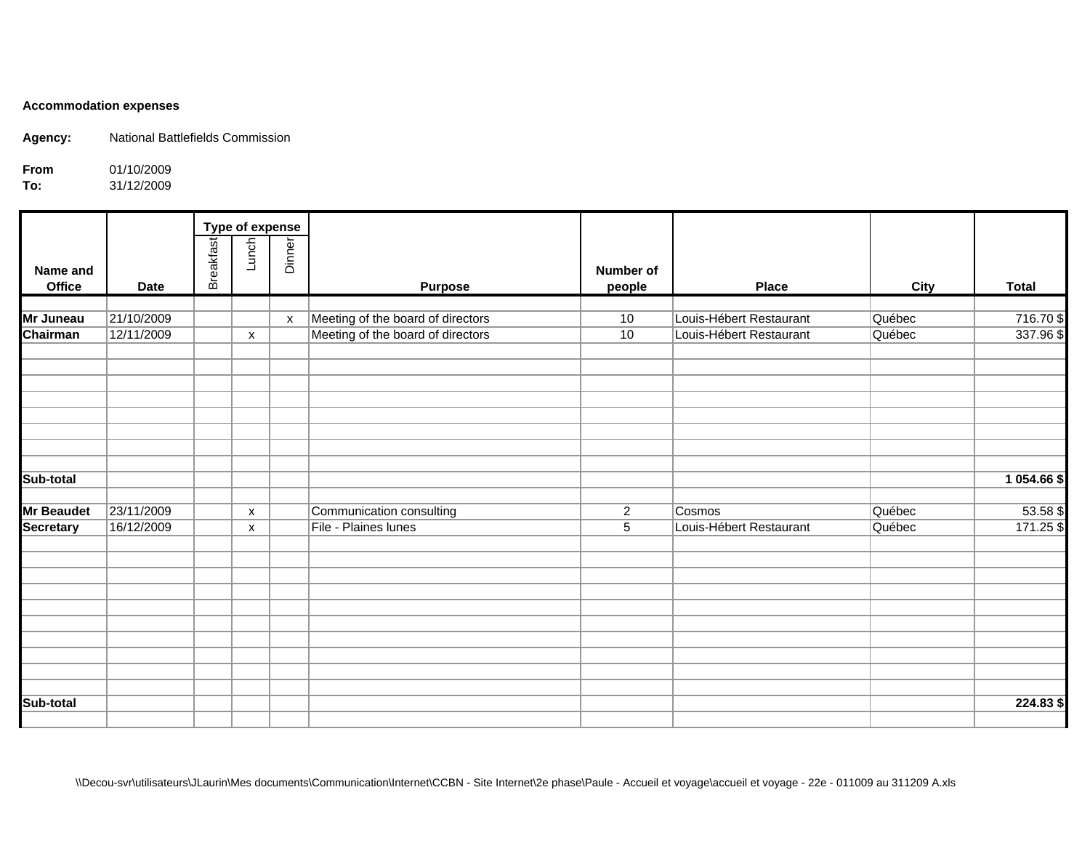## **Accommodation expenses**

**Agency:** National Battlefields Commission

**From**01/10/2009

**To:**31/12/2009

|                    |             | <b>Type of expense</b> |                           |                           |                                   |                     |                         |             |              |
|--------------------|-------------|------------------------|---------------------------|---------------------------|-----------------------------------|---------------------|-------------------------|-------------|--------------|
| Name and<br>Office | <b>Date</b> | <b>Breakfast</b>       | Lunch                     | Dinner                    | <b>Purpose</b>                    | Number of<br>people | <b>Place</b>            | <b>City</b> | <b>Total</b> |
|                    |             |                        |                           |                           |                                   |                     |                         |             |              |
| Mr Juneau          | 21/10/2009  |                        |                           | $\boldsymbol{\mathsf{x}}$ | Meeting of the board of directors | 10                  | Louis-Hébert Restaurant | Québec      | 716.70\$     |
| Chairman           | 12/11/2009  |                        | X                         |                           | Meeting of the board of directors | 10                  | Louis-Hébert Restaurant | Québec      | 337.96\$     |
|                    |             |                        |                           |                           |                                   |                     |                         |             |              |
|                    |             |                        |                           |                           |                                   |                     |                         |             |              |
|                    |             |                        |                           |                           |                                   |                     |                         |             |              |
| Sub-total          |             |                        |                           |                           |                                   |                     |                         |             | 1 054.66 \$  |
| <b>Mr Beaudet</b>  | 23/11/2009  |                        | $\boldsymbol{\mathsf{x}}$ |                           | Communication consulting          | $\mathbf{2}$        | Cosmos                  | Québec      | $53.58$ \$   |
| <b>Secretary</b>   | 16/12/2009  |                        | $\boldsymbol{\mathsf{x}}$ |                           | File - Plaines lunes              | 5                   | Louis-Hébert Restaurant | Québec      | 171.25\$     |
|                    |             |                        |                           |                           |                                   |                     |                         |             |              |
|                    |             |                        |                           |                           |                                   |                     |                         |             |              |
|                    |             |                        |                           |                           |                                   |                     |                         |             |              |
|                    |             |                        |                           |                           |                                   |                     |                         |             |              |
|                    |             |                        |                           |                           |                                   |                     |                         |             |              |
|                    |             |                        |                           |                           |                                   |                     |                         |             |              |
| Sub-total          |             |                        |                           |                           |                                   |                     |                         |             | 224.83 \$    |